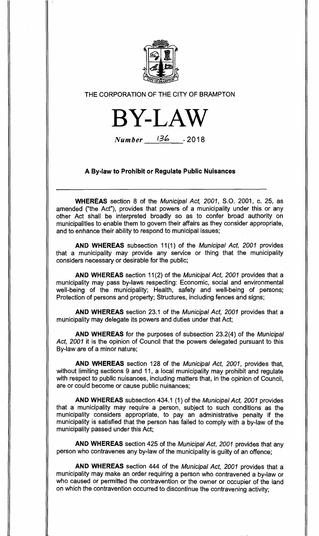

# THE CORPORATION OF THE CITY OF BRAMPTON



Number 136 **- 2018** 

# **A By-law to Prohibit or Regulate Public Nuisances**

**WHEREAS** section 8 of the Municipal Act, 2001, S.O. 2001, c. 25, as amended ("the Act"), provides that powers of a municipality under this or any other Act shall be interpreted broadly so as to confer broad authority on municipalities to enable them to govern their affairs as they consider appropriate, and to enhance their ability to respond to municipal issues;

**AND WHEREAS** subsection 11(1) of the Municipal Act, 2001 provides that a municipality may provide any service or thing that the municipality considers necessary or desirable for the public;

**AND WHEREAS** section 11(2) of the Municipal Act, 2001 provides that a municipality may pass by-laws respecting: Economic, social and environmental well-being of the municipality; Health, safety and well-being of persons; Protection of persons and property; Structures, including fences and signs;

**AND WHEREAS** section 23.1 of the Municipal Act, 2001 provides that a municipality may delegate its powers and duties under that Act;

**AND WHEREAS** for the purposes of subsection 23.2(4) of the Municipal Act, 2001 it is the opinion of Council that the powers delegated pursuant to this By-law are of a minor nature;

**AND WHEREAS** section 128 of the Municipal Act, 2001, provides that, without limiting sections 9 and 11, a local municipality may prohibit and regulate with respect to public nuisances, including matters that, in the opinion of Council, are or could become or cause public nuisances;

**AND WHEREAS** subsection 434.1 (1) of the Municipal Act, 2001 provides that a municipality may require a person, subject to such conditions as the municipality considers appropriate, to pay an administrative penalty if the municipality is satisfied that the person has failed to comply with a by-law of the municipality passed under this Act;

**AND WHEREAS** section 425 of the Municipal Act, 2001 provides that any person who contravenes any by-law of the municipality is guilty of an offence;

**AND WHEREAS** section 444 of the Municipal Act, 2001 provides that a municipality may make an order requiring a person who contravened a by-law or who caused or permitted the contravention or the owner or occupier of the land on which the contravention occurred to discontinue the contravening activity;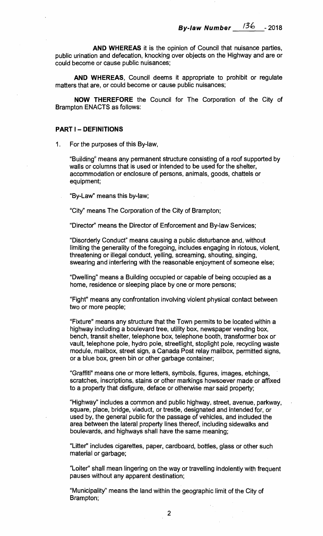**AND WHEREAS** it is the opinion of Council that nuisance parties, public urination and defecation, knocking over objects on the Highway and are or could become or cause public nuisances;

**AND WHEREAS,** Council deems it appropriate to prohibit or regulate matters that are, or could become or cause public nuisances;

**NOW THEREFORE** the Council for The Corporation of the City of Brampton ENACTS as follows:

#### **PART I — DEFINITIONS**

1. For the purposes of this By-law,

"Building" means any permanent structure consisting of a roof supported by walls or columns that is used or intended to be used for the shelter, accommodation or enclosure of persons, animals, goods, chattels or equipment;

"By-Law" means this by-law;

"City" means The Corporation of the City of Brampton;

"Director" means the Director of Enforcement and By-law Services;

"Disorderly Conduct" means causing a public disturbance and, without limiting the generality of the foregoing, includes engaging in riotous, violent, threatening or illegal conduct, yelling, screaming, shouting, singing, swearing and interfering with the reasonable enjoyment of someone else;

"Dwelling" means a Building occupied or capable of being occupied as a home, residence or sleeping place by one or more persons;

"Fight" means any confrontation involving violent physical contact between two or more people;

"Fixture" means any structure that the Town permits to be located within a highway including a boulevard tree, utility box, newspaper vending box, bench, transit shelter, telephone box, telephone booth, transformer box or vault, telephone pole, hydro pole, streetlight, stoplight pole, recycling waste module, mailbox, street sign, a Canada Post relay mailbox, permitted signs, or a blue box, green bin or other garbage container;

"Graffiti" means one or more letters, symbols, figures, images, etchings, scratches, inscriptions, stains or other markings howsoever made or affixed to a property that disfigure, deface or otherwise mar said property;

"Highway" includes a common and public highway, street, avenue, parkway, square, place, bridge, viaduct, or trestle, designated and intended for, or used by, the general public for the passage of vehicles, and included the area between the lateral property lines thereof, including sidewalks and boulevards, and highways shall have the same meaning;

"Litter" includes cigarettes, paper, cardboard, bottles, glass or other such material or garbage;

"Loiter" shall mean lingering on the way or travelling indolently with frequent pauses without any apparent destination;

"Municipality" means the land within the geographic limit of the City of Brampton;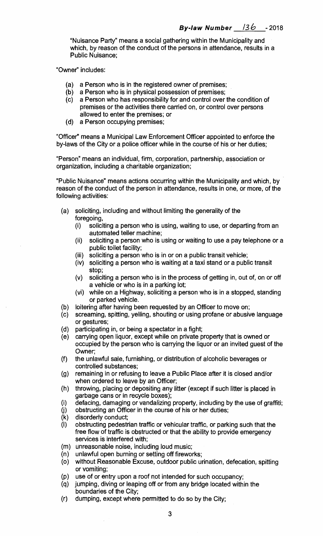**"Nuisance Party" means a social gathering within the Municipality and which, by reason of the conduct of the persons in attendance, results in a Public Nuisance;** 

**"Owner" includes:** 

- **(a) a Person who is in the registered owner of premises;**
- **(b) a Person who is in physical possession of premises;**
- **(c) a Person who has responsibility for and control over the condition of premises or the activities there carried on, or control over persons allowed to enter the premises; or**
- **(d) a Person occupying premises;**

**"Officer" means a Municipal Law Enforcement Officer appointed to enforce the by-laws of the City or a police officer while in the course of his or her duties;** 

**"Person" means an individual, firm, corporation, partnership, association or organization, including a charitable organization;** 

**"Public Nuisance" means actions occurring within the Municipality and which, by reason of the conduct of the person in attendance, results in one, or more, of the following activities:** 

- **(a) soliciting, including and without limiting the generality of the foregoing,** 
	- **(i) soliciting a person who is using, waiting to use, or departing from an automated teller machine;**
	- **(ii) soliciting a person who is using or waiting to use a pay telephone or a public toilet facility;**
	- **(iii) soliciting a person who is in or on a public transit vehicle;**
	- **(iv) soliciting a person who is waiting at a taxi stand or a public transit stop;**
	- **(v) soliciting a person who is in the process of getting in, out of, on or off a vehicle or who is in a parking lot;**
	- **(vi) while on a Highway, soliciting a person who is in a stopped, standing or parked vehicle.**
- **(b) loitering after having been requested by an Officer to move on;**
- **(c) screaming, spitting, yelling, shouting or using profane or abusive language or gestures;**
- **(d) participating in, or being a spectator in a fight;**
- **(e) carrying open liquor, except while on private property that is owned or occupied by the person who is carrying the liquor or an invited guest of the Owner;**
- **(f) the unlawful sale, furnishing, or distribution of alcoholic beverages or controlled substances;**
- **(g) remaining in or refusing to leave a Public Place after it is closed and/or when ordered to leave by an Officer;**
- **(h) throwing, placing or depositing any litter (except if such litter is placed in garbage cans or in recycle boxes);**
- **(i) defacing, damaging or vandalizing property, including by the use of graffiti;**
- **(j) obstructing an Officer in the course of his or her duties;**
- **(k) disorderly conduct;**
- **(I) obstructing pedestrian traffic or vehicular traffic, or parking such that the free flow of traffic is obstructed or that the ability to provide emergency services is interfered with;**
- **(m) unreasonable noise, including loud music;**
- **(n) unlawful open burning or setting off fireworks;**
- **(o) without Reasonable Excuse, outdoor public urination, defecation, spitting or vomiting;**
- **(p) use of or entry upon a roof not intended for such occupancy;**
- **(q) jumping, diving or leaping off or from any bridge located within the boundaries of the City;**
- **(r) dumping, except where permitted to do so by the City;**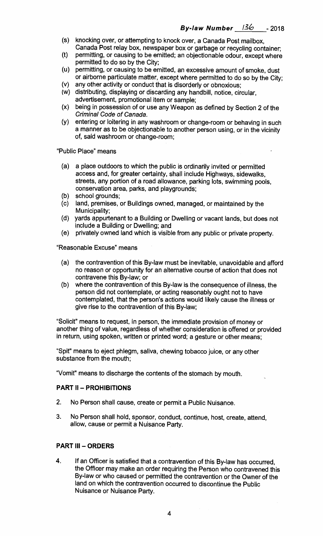- (s) knocking over, or attempting to knock over, a Canada Post mailbox, Canada Post relay box, newspaper box or garbage or recycling container;
- (t) permitting, or causing to be emitted; an objectionable odour, except where permitted to do so by the City;
- (u) permitting, or causing to be emitted, an excessive amount of smoke, dust or airborne particulate matter, except where permitted to do so by the City;
- (v) any other activity or conduct that is disorderly or obnoxious;
- (w) distributing, displaying or discarding any handbill, notice, circular, advertisement, promotional item or sample;
- (x) being in possession of or use any Weapon as defined by Section 2 of the Criminal Code of Canada.
- (y) entering or loitering in any washroom or change-room or behaving in such a manner as to be objectionable to another person using, or in the vicinity of, said washroom or change-room;

"Public Place" means

- (a) a place outdoors to which the public is ordinarily invited or permitted access and, for greater certainty, shall include Highways, sidewalks, streets, any portion of a road allowance, parking lots, swimming pools, conservation area, parks, and playgrounds;
- (b) school grounds;
- (c) land, premises, or Buildings owned, managed, or maintained by the Municipality;
- (d) yards appurtenant to a Building or Dwelling or vacant lands, but does not include a Building or Dwelling; and
- (e) privately owned land which is visible from any public or private property.

"Reasonable Excuse" means

- (a) the contravention of this By-law must be inevitable, unavoidable and afford no reason or opportunity for an alternative course of action that does not contravene this By-law; or
- (b) where the contravention of this By-law is the consequence of illness, the person did not contemplate, or acting reasonably ought not to have contemplated, that the person's actions would likely cause the illness or give rise to the contravention of this By-law;

"Solicit" means to request, in person, the immediate provision of money or another thing of value, regardless of whether consideration is offered or provided in return, using spoken, written or printed word; a gesture or other means;

"Spit" means to eject phlegm, saliva, chewing tobacco juice, or any other substance from the mouth;

"Vomit" means to discharge the contents of the stomach by mouth.

# **PART H — PROHIBITIONS**

- 2. No Person shall cause, create or permit a Public Nuisance.
- 3. No Person shall hold, sponsor, conduct, continue, host, create, attend, allow, cause or permit a Nuisance Party.

### **PART III — ORDERS**

4. If an Officer is satisfied that a contravention of this By-law has occurred, the Officer may make an order requiring the Person who contravened this By-law or who caused or permitted the contravention or the Owner of the land on which the contravention occurred to discontinue the Public Nuisance or Nuisance Party.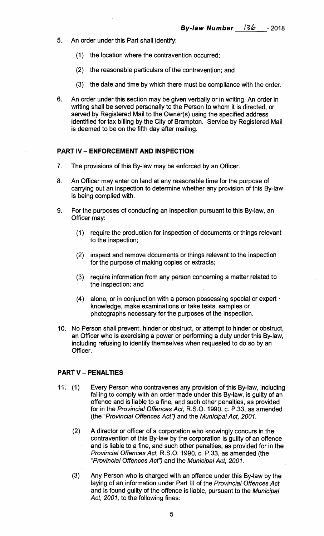- 5. An order under this Part shall identify:
	- (1) the location where the contravention occurred;
	- (2) the reasonable particulars of the contravention; and
	- (3) the date and time by which there must be compliance with the order.
- 6. An order under this section may be given verbally or in writing. An order in writing shall be served personally to the Person to whom it is directed, or served by Registered Mail to the Owner(s) using the specified address identified for tax billing by the City of Brampton. Service by Registered Mail is deemed to be on the fifth day after mailing.

#### **PART IV — ENFORCEMENT AND INSPECTION**

- 7. The provisions of this By-law may be enforced by an Officer.
- 8. An Officer may enter on land at any reasonable time for the purpose of carrying out an inspection to determine whether any provision of this By-law is being complied with.
- 9. For the purposes of conducting an inspection pursuant to this By-law, an Officer may:
	- (1) require the production for inspection of documents or things relevant to the inspection;
	- (2) inspect and remove documents or things relevant to the inspection for the purpose of making copies or extracts;
	- (3) require information from any person concerning a matter related to the inspection; and
	- (4) alone, or in conjunction with a person possessing special or expert knowledge, make examinations or take tests, samples or photographs necessary for the purposes of the inspection.
- 10. No Person shall prevent, hinder or obstruct, or attempt to hinder or obstruct, an Officer who is exercising a power or performing a duty under this By-law, including refusing to identify themselves when requested to do so by an Officer.

### **PART V — PENALTIES**

- 11. (1) Every Person who contravenes any provision of this By-law, including **failing to comply with an** order made under this By-law, is guilty of an offence and is liable to a fine, and such other penalties, as provided for in the Provincial Offences Act, R.S.O. 1990, c. P.33, as amended (the "Provincial Offences Act") and the Municipal Act, 2001.
	- (2) A director or officer of a corporation who knowingly concurs in the contravention of this By-law by the corporation is guilty of an offence and is liable to a fine, and such other penalties, as provided for in the Provincial Offences Act, R.S.O. 1990, c. P.33, as amended (the "Provincial Offences Act") and the Municipal Act, 2001.
	- (3) Any Person who is charged with an offence under this By-law by the laying of an information under Part III of the Provincial Offences Act and is found guilty of the offence is liable, pursuant to the Municipal Act, 2001, to the following fines: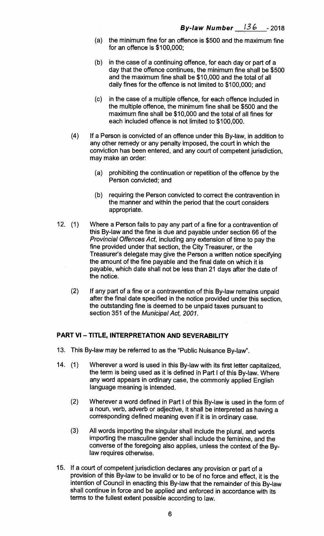- (a) the minimum fine for an offence is \$500 and the maximum fine for an offence is \$100,000;
- (b) in the case of a continuing offence, for each day or part of a day that the offence continues, the minimum fine shall be \$500 and the maximum fine shall be \$10,000 and the total of all daily fines for the offence is not limited to \$100,000; and
- (c) in the case of a multiple offence, for each offence included in the multiple offence, the minimum fine shall be \$500 and the maximum fine shall be \$10,000 and the total of all fines for each included offence is not limited to \$100,000.
- $(4)$  If a Person is convicted of an offence under this By-law, in addition to any other remedy or any penalty imposed, the court in which the conviction has been entered, and any court of competent jurisdiction, may make an order:
	- (a) prohibiting the continuation or repetition of the offence by the Person convicted; and
	- (b) requiring the Person convicted to correct the contravention in the manner and within the period that the court considers appropriate.
- 12. (1) Where a Person fails to pay any part of a fine for a contravention of this By-law and the fine is due and payable under section 66 of the Provincial Offences Act, including any extension of time to pay the fine provided under that section, the City Treasurer, or the Treasurer's delegate may give the Person a written notice specifying the amount of the fine payable and the final date on which it is payable, which date shall not be less than 21 days after the date of the notice.
	- (2) If any part of a fine or a contravention of this By-law remains unpaid after the final date specified in the notice provided under this section, the outstanding fine is deemed to be unpaid taxes pursuant to section 351 of the Municipal Act, 2001.

# **PART VI — TITLE, INTERPRETATION AND SEVERABILITY**

- 13. This By-law may be referred to as the "Public Nuisance By-law".
- 14. (1) Wherever a word is used in this By-law with its first letter capitalized, the term is being used as it is defined in Part I of this By-law. Where any word appears in ordinary case, the commonly applied English language meaning is intended.
	- (2) Wherever a word defined in Part I of this By-law is used in the form of a noun, verb, adverb or adjective, it shall be interpreted as having a corresponding defined meaning even if it is in ordinary case.
	- (3) All words importing the singular shall include the plural, and words importing the masculine gender shall include the feminine, and the converse of the foregoing also applies, unless the context of the Bylaw requires otherwise.
- 15. If a court of competent jurisdiction declares any provision or part of a provision of this By-law to be invalid or to be of no force and effect, it is the intention of Council in enacting this By-law that the remainder of this By-law shall continue in force and be applied and enforced in accordance with its terms to the fullest extent possible according to law.